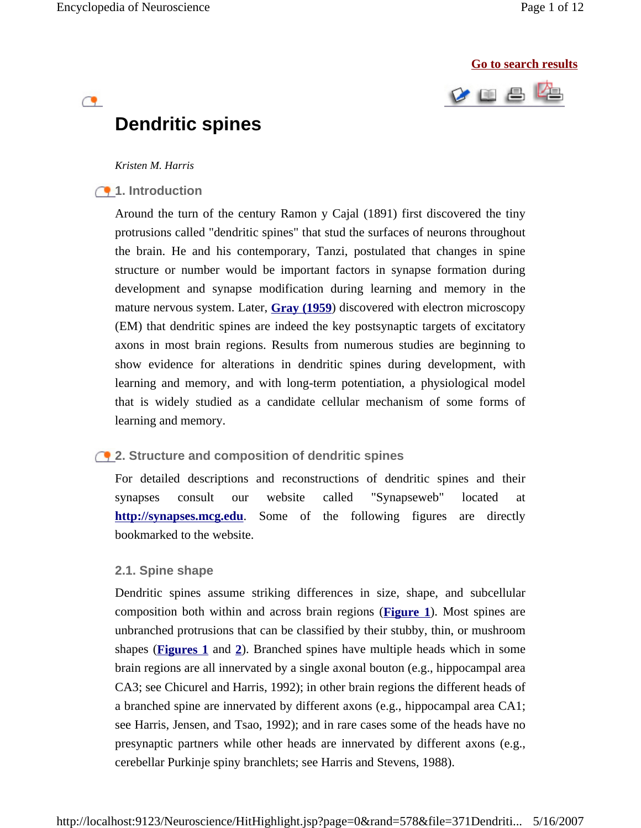$\mathbf{C}$ 

#### **Go to search results**



# **Dendritic spines**

#### *Kristen M. Harris*

## **1.** Introduction

Around the turn of the century Ramon y Cajal (1891) first discovered the tiny protrusions called "dendritic spines" that stud the surfaces of neurons throughout the brain. He and his contemporary, Tanzi, postulated that changes in spine structure or number would be important factors in synapse formation during development and synapse modification during learning and memory in the mature nervous system. Later, **Gray (1959**) discovered with electron microscopy (EM) that dendritic spines are indeed the key postsynaptic targets of excitatory axons in most brain regions. Results from numerous studies are beginning to show evidence for alterations in dendritic spines during development, with learning and memory, and with long-term potentiation, a physiological model that is widely studied as a candidate cellular mechanism of some forms of learning and memory.

# **2. Structure and composition of dendritic spines**

For detailed descriptions and reconstructions of dendritic spines and their synapses consult our website called "Synapseweb" located at **http://synapses.mcg.edu**. Some of the following figures are directly bookmarked to the website.

## **2.1. Spine shape**

Dendritic spines assume striking differences in size, shape, and subcellular composition both within and across brain regions (**Figure 1**). Most spines are unbranched protrusions that can be classified by their stubby, thin, or mushroom shapes (**Figures 1** and **2**). Branched spines have multiple heads which in some brain regions are all innervated by a single axonal bouton (e.g., hippocampal area CA3; see Chicurel and Harris, 1992); in other brain regions the different heads of a branched spine are innervated by different axons (e.g., hippocampal area CA1; see Harris, Jensen, and Tsao, 1992); and in rare cases some of the heads have no presynaptic partners while other heads are innervated by different axons (e.g., cerebellar Purkinje spiny branchlets; see Harris and Stevens, 1988).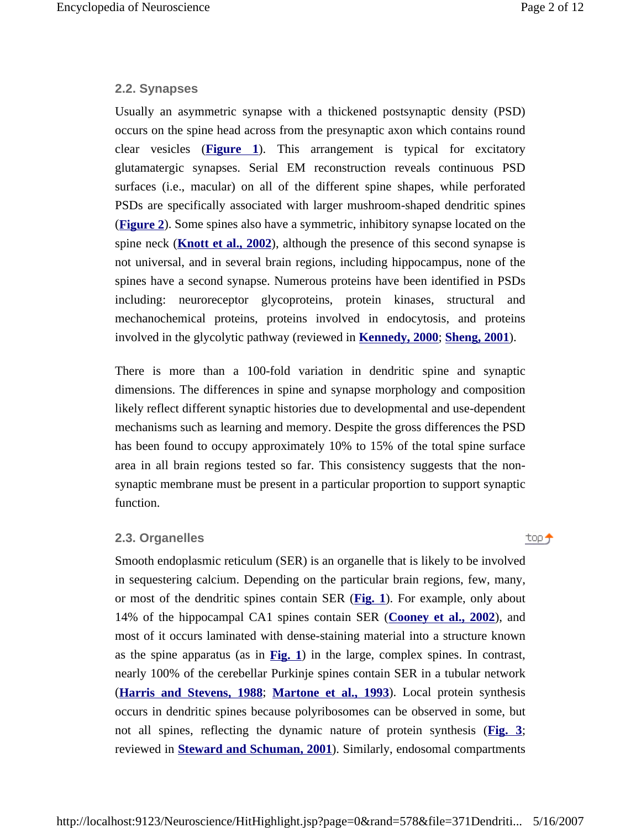top +

## **2.2. Synapses**

Usually an asymmetric synapse with a thickened postsynaptic density (PSD) occurs on the spine head across from the presynaptic axon which contains round clear vesicles (**Figure 1**). This arrangement is typical for excitatory glutamatergic synapses. Serial EM reconstruction reveals continuous PSD surfaces (i.e., macular) on all of the different spine shapes, while perforated PSDs are specifically associated with larger mushroom-shaped dendritic spines (**Figure 2**). Some spines also have a symmetric, inhibitory synapse located on the spine neck (**Knott et al., 2002**), although the presence of this second synapse is not universal, and in several brain regions, including hippocampus, none of the spines have a second synapse. Numerous proteins have been identified in PSDs including: neuroreceptor glycoproteins, protein kinases, structural and mechanochemical proteins, proteins involved in endocytosis, and proteins involved in the glycolytic pathway (reviewed in **Kennedy, 2000**; **Sheng, 2001**).

There is more than a 100-fold variation in dendritic spine and synaptic dimensions. The differences in spine and synapse morphology and composition likely reflect different synaptic histories due to developmental and use-dependent mechanisms such as learning and memory. Despite the gross differences the PSD has been found to occupy approximately 10% to 15% of the total spine surface area in all brain regions tested so far. This consistency suggests that the nonsynaptic membrane must be present in a particular proportion to support synaptic function.

## **2.3. Organelles**

Smooth endoplasmic reticulum (SER) is an organelle that is likely to be involved in sequestering calcium. Depending on the particular brain regions, few, many, or most of the dendritic spines contain SER (**Fig. 1**). For example, only about 14% of the hippocampal CA1 spines contain SER (**Cooney et al., 2002**), and most of it occurs laminated with dense-staining material into a structure known as the spine apparatus (as in **Fig. 1**) in the large, complex spines. In contrast, nearly 100% of the cerebellar Purkinje spines contain SER in a tubular network (**Harris and Stevens, 1988**; **Martone et al., 1993**). Local protein synthesis occurs in dendritic spines because polyribosomes can be observed in some, but not all spines, reflecting the dynamic nature of protein synthesis (**Fig. 3**; reviewed in **Steward and Schuman, 2001**). Similarly, endosomal compartments

http://localhost:9123/Neuroscience/HitHighlight.jsp?page=0&rand=578&file=371Dendriti... 5/16/2007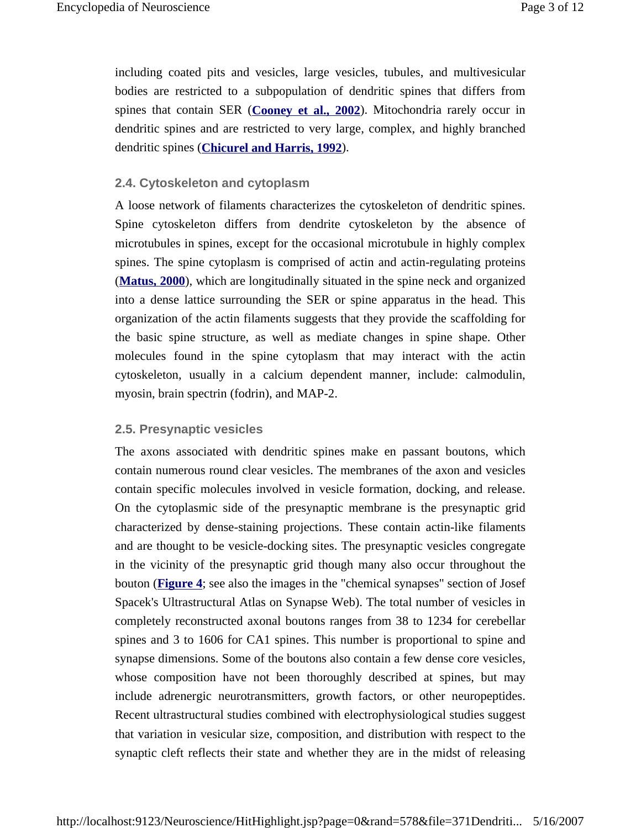including coated pits and vesicles, large vesicles, tubules, and multivesicular bodies are restricted to a subpopulation of dendritic spines that differs from spines that contain SER (**Cooney et al., 2002**). Mitochondria rarely occur in dendritic spines and are restricted to very large, complex, and highly branched dendritic spines (**Chicurel and Harris, 1992**).

# **2.4. Cytoskeleton and cytoplasm**

A loose network of filaments characterizes the cytoskeleton of dendritic spines. Spine cytoskeleton differs from dendrite cytoskeleton by the absence of microtubules in spines, except for the occasional microtubule in highly complex spines. The spine cytoplasm is comprised of actin and actin-regulating proteins (**Matus, 2000**), which are longitudinally situated in the spine neck and organized into a dense lattice surrounding the SER or spine apparatus in the head. This organization of the actin filaments suggests that they provide the scaffolding for the basic spine structure, as well as mediate changes in spine shape. Other molecules found in the spine cytoplasm that may interact with the actin cytoskeleton, usually in a calcium dependent manner, include: calmodulin, myosin, brain spectrin (fodrin), and MAP-2.

# **2.5. Presynaptic vesicles**

The axons associated with dendritic spines make en passant boutons, which contain numerous round clear vesicles. The membranes of the axon and vesicles contain specific molecules involved in vesicle formation, docking, and release. On the cytoplasmic side of the presynaptic membrane is the presynaptic grid characterized by dense-staining projections. These contain actin-like filaments and are thought to be vesicle-docking sites. The presynaptic vesicles congregate in the vicinity of the presynaptic grid though many also occur throughout the bouton (**Figure 4**; see also the images in the "chemical synapses" section of Josef Spacek's Ultrastructural Atlas on Synapse Web). The total number of vesicles in completely reconstructed axonal boutons ranges from 38 to 1234 for cerebellar spines and 3 to 1606 for CA1 spines. This number is proportional to spine and synapse dimensions. Some of the boutons also contain a few dense core vesicles, whose composition have not been thoroughly described at spines, but may include adrenergic neurotransmitters, growth factors, or other neuropeptides. Recent ultrastructural studies combined with electrophysiological studies suggest that variation in vesicular size, composition, and distribution with respect to the synaptic cleft reflects their state and whether they are in the midst of releasing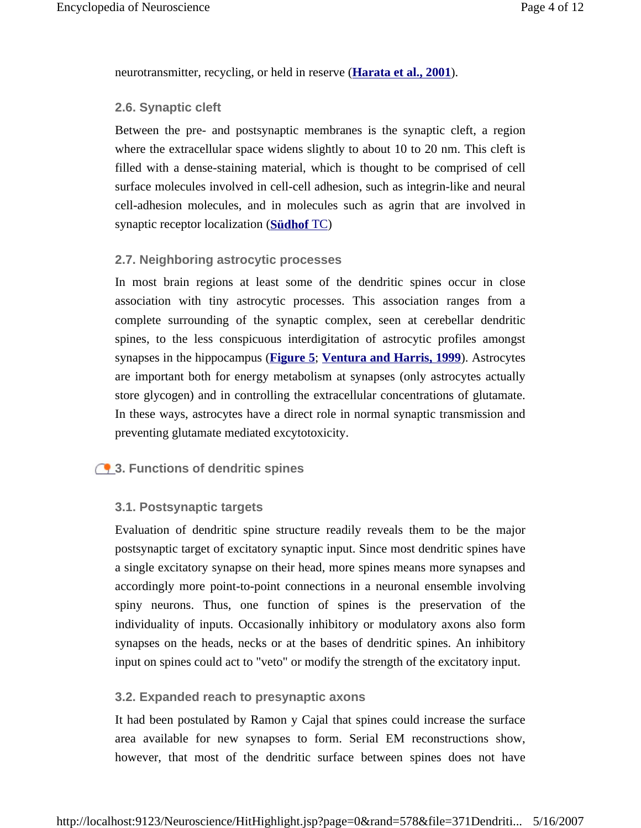neurotransmitter, recycling, or held in reserve (**Harata et al., 2001**).

# **2.6. Synaptic cleft**

Between the pre- and postsynaptic membranes is the synaptic cleft, a region where the extracellular space widens slightly to about 10 to 20 nm. This cleft is filled with a dense-staining material, which is thought to be comprised of cell surface molecules involved in cell-cell adhesion, such as integrin-like and neural cell-adhesion molecules, and in molecules such as agrin that are involved in synaptic receptor localization (**Südhof** TC)

# **2.7. Neighboring astrocytic processes**

In most brain regions at least some of the dendritic spines occur in close association with tiny astrocytic processes. This association ranges from a complete surrounding of the synaptic complex, seen at cerebellar dendritic spines, to the less conspicuous interdigitation of astrocytic profiles amongst synapses in the hippocampus (**Figure 5**; **Ventura and Harris, 1999**). Astrocytes are important both for energy metabolism at synapses (only astrocytes actually store glycogen) and in controlling the extracellular concentrations of glutamate. In these ways, astrocytes have a direct role in normal synaptic transmission and preventing glutamate mediated excytotoxicity.

# **3. Functions of dendritic spines**

# **3.1. Postsynaptic targets**

Evaluation of dendritic spine structure readily reveals them to be the major postsynaptic target of excitatory synaptic input. Since most dendritic spines have a single excitatory synapse on their head, more spines means more synapses and accordingly more point-to-point connections in a neuronal ensemble involving spiny neurons. Thus, one function of spines is the preservation of the individuality of inputs. Occasionally inhibitory or modulatory axons also form synapses on the heads, necks or at the bases of dendritic spines. An inhibitory input on spines could act to "veto" or modify the strength of the excitatory input.

# **3.2. Expanded reach to presynaptic axons**

It had been postulated by Ramon y Cajal that spines could increase the surface area available for new synapses to form. Serial EM reconstructions show, however, that most of the dendritic surface between spines does not have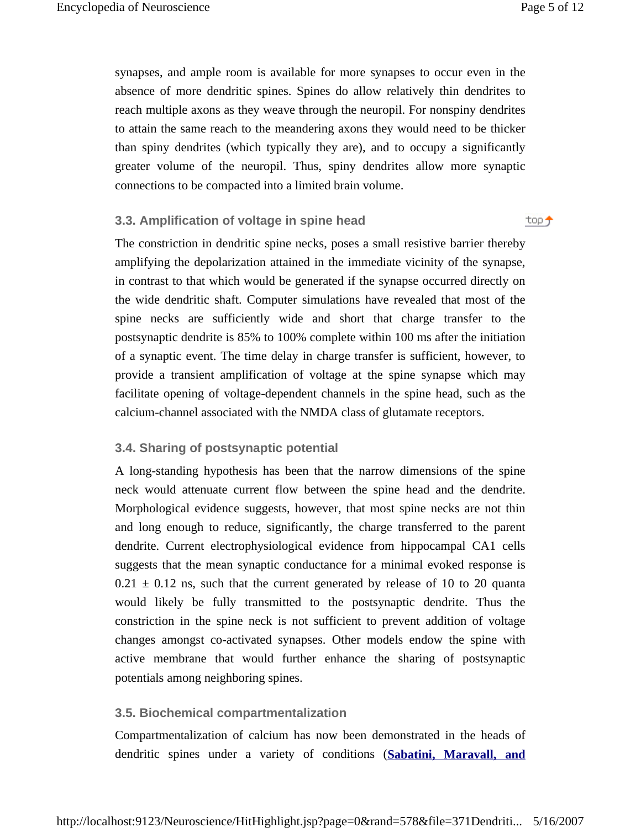top +

synapses, and ample room is available for more synapses to occur even in the absence of more dendritic spines. Spines do allow relatively thin dendrites to reach multiple axons as they weave through the neuropil. For nonspiny dendrites to attain the same reach to the meandering axons they would need to be thicker than spiny dendrites (which typically they are), and to occupy a significantly greater volume of the neuropil. Thus, spiny dendrites allow more synaptic connections to be compacted into a limited brain volume.

## **3.3. Amplification of voltage in spine head**

The constriction in dendritic spine necks, poses a small resistive barrier thereby amplifying the depolarization attained in the immediate vicinity of the synapse, in contrast to that which would be generated if the synapse occurred directly on the wide dendritic shaft. Computer simulations have revealed that most of the spine necks are sufficiently wide and short that charge transfer to the postsynaptic dendrite is 85% to 100% complete within 100 ms after the initiation of a synaptic event. The time delay in charge transfer is sufficient, however, to provide a transient amplification of voltage at the spine synapse which may facilitate opening of voltage-dependent channels in the spine head, such as the calcium-channel associated with the NMDA class of glutamate receptors.

# **3.4. Sharing of postsynaptic potential**

A long-standing hypothesis has been that the narrow dimensions of the spine neck would attenuate current flow between the spine head and the dendrite. Morphological evidence suggests, however, that most spine necks are not thin and long enough to reduce, significantly, the charge transferred to the parent dendrite. Current electrophysiological evidence from hippocampal CA1 cells suggests that the mean synaptic conductance for a minimal evoked response is  $0.21 \pm 0.12$  ns, such that the current generated by release of 10 to 20 quanta would likely be fully transmitted to the postsynaptic dendrite. Thus the constriction in the spine neck is not sufficient to prevent addition of voltage changes amongst co-activated synapses. Other models endow the spine with active membrane that would further enhance the sharing of postsynaptic potentials among neighboring spines.

# **3.5. Biochemical compartmentalization**

Compartmentalization of calcium has now been demonstrated in the heads of dendritic spines under a variety of conditions (**Sabatini, Maravall, and**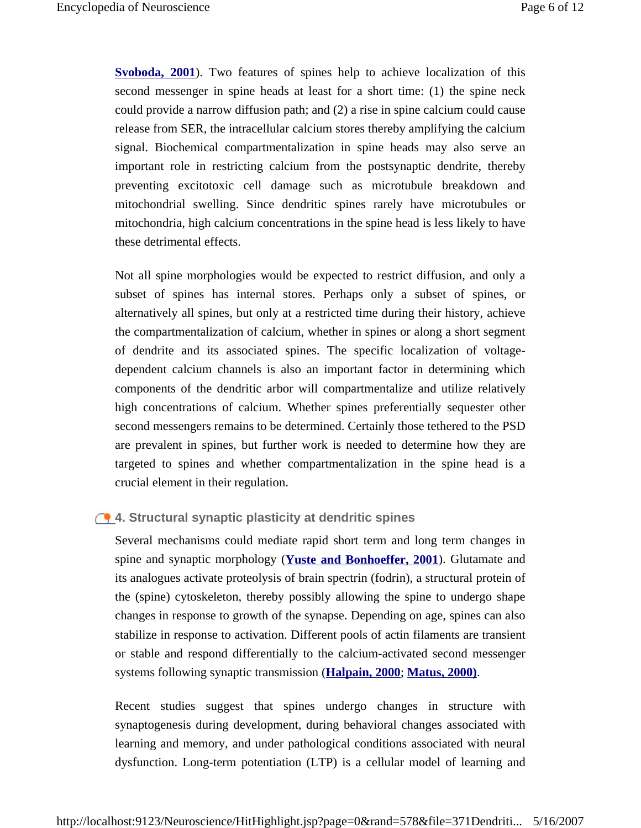**Svoboda, 2001**). Two features of spines help to achieve localization of this second messenger in spine heads at least for a short time: (1) the spine neck could provide a narrow diffusion path; and (2) a rise in spine calcium could cause release from SER, the intracellular calcium stores thereby amplifying the calcium signal. Biochemical compartmentalization in spine heads may also serve an important role in restricting calcium from the postsynaptic dendrite, thereby preventing excitotoxic cell damage such as microtubule breakdown and mitochondrial swelling. Since dendritic spines rarely have microtubules or mitochondria, high calcium concentrations in the spine head is less likely to have these detrimental effects.

Not all spine morphologies would be expected to restrict diffusion, and only a subset of spines has internal stores. Perhaps only a subset of spines, or alternatively all spines, but only at a restricted time during their history, achieve the compartmentalization of calcium, whether in spines or along a short segment of dendrite and its associated spines. The specific localization of voltagedependent calcium channels is also an important factor in determining which components of the dendritic arbor will compartmentalize and utilize relatively high concentrations of calcium. Whether spines preferentially sequester other second messengers remains to be determined. Certainly those tethered to the PSD are prevalent in spines, but further work is needed to determine how they are targeted to spines and whether compartmentalization in the spine head is a crucial element in their regulation.

# **4. Structural synaptic plasticity at dendritic spines**

Several mechanisms could mediate rapid short term and long term changes in spine and synaptic morphology (**Yuste and Bonhoeffer, 2001**). Glutamate and its analogues activate proteolysis of brain spectrin (fodrin), a structural protein of the (spine) cytoskeleton, thereby possibly allowing the spine to undergo shape changes in response to growth of the synapse. Depending on age, spines can also stabilize in response to activation. Different pools of actin filaments are transient or stable and respond differentially to the calcium-activated second messenger systems following synaptic transmission (**Halpain, 2000**; **Matus, 2000)**.

Recent studies suggest that spines undergo changes in structure with synaptogenesis during development, during behavioral changes associated with learning and memory, and under pathological conditions associated with neural dysfunction. Long-term potentiation (LTP) is a cellular model of learning and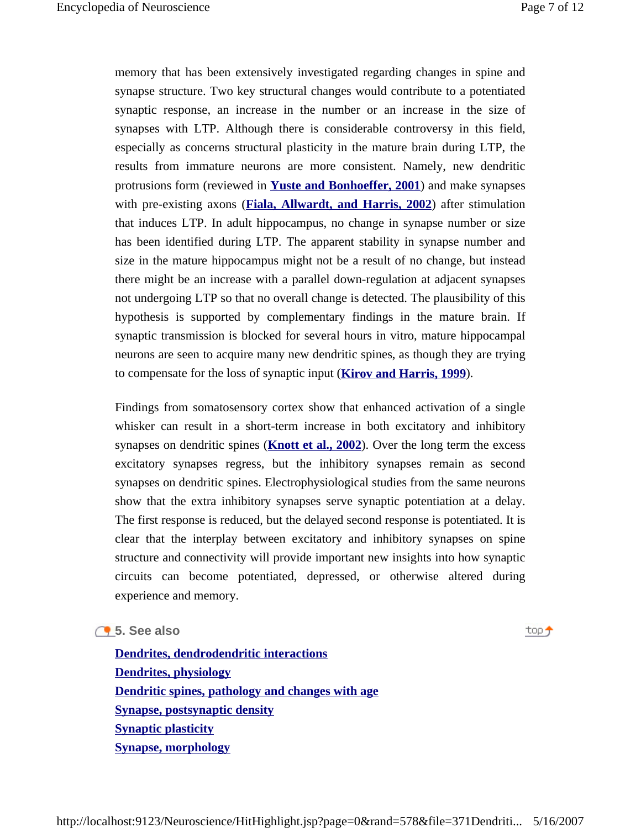memory that has been extensively investigated regarding changes in spine and synapse structure. Two key structural changes would contribute to a potentiated synaptic response, an increase in the number or an increase in the size of synapses with LTP. Although there is considerable controversy in this field, especially as concerns structural plasticity in the mature brain during LTP, the results from immature neurons are more consistent. Namely, new dendritic protrusions form (reviewed in **Yuste and Bonhoeffer, 2001**) and make synapses with pre-existing axons (**Fiala, Allwardt, and Harris, 2002**) after stimulation that induces LTP. In adult hippocampus, no change in synapse number or size has been identified during LTP. The apparent stability in synapse number and size in the mature hippocampus might not be a result of no change, but instead there might be an increase with a parallel down-regulation at adjacent synapses not undergoing LTP so that no overall change is detected. The plausibility of this hypothesis is supported by complementary findings in the mature brain. If synaptic transmission is blocked for several hours in vitro, mature hippocampal neurons are seen to acquire many new dendritic spines, as though they are trying to compensate for the loss of synaptic input (**Kirov and Harris, 1999**).

Findings from somatosensory cortex show that enhanced activation of a single whisker can result in a short-term increase in both excitatory and inhibitory synapses on dendritic spines (**Knott et al., 2002**). Over the long term the excess excitatory synapses regress, but the inhibitory synapses remain as second synapses on dendritic spines. Electrophysiological studies from the same neurons show that the extra inhibitory synapses serve synaptic potentiation at a delay. The first response is reduced, but the delayed second response is potentiated. It is clear that the interplay between excitatory and inhibitory synapses on spine structure and connectivity will provide important new insights into how synaptic circuits can become potentiated, depressed, or otherwise altered during experience and memory.

## **5. See also**

top <del>j</del>

**Dendrites, dendrodendritic interactions Dendrites, physiology Dendritic spines, pathology and changes with age Synapse, postsynaptic density Synaptic plasticity Synapse, morphology**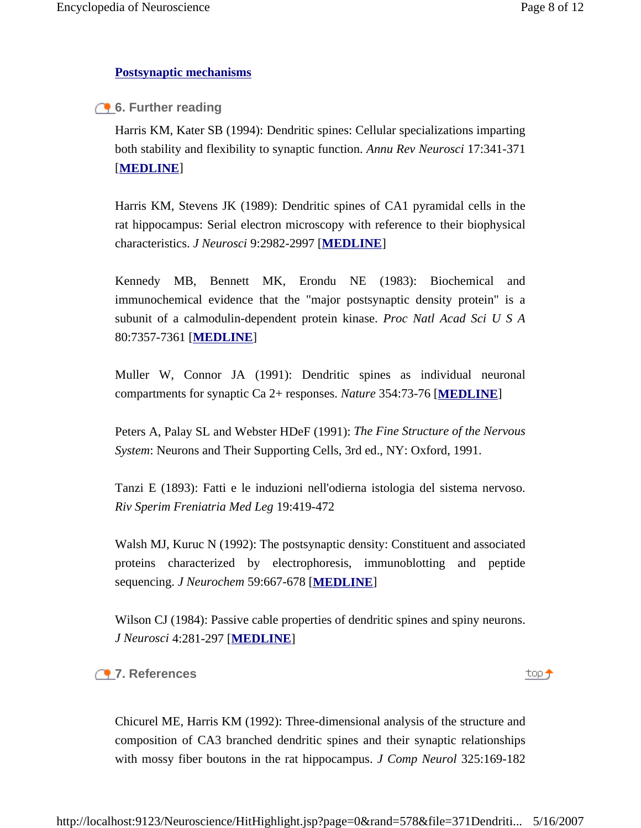# **Postsynaptic mechanisms**

**6. Further reading** 

Harris KM, Kater SB (1994): Dendritic spines: Cellular specializations imparting both stability and flexibility to synaptic function. *Annu Rev Neurosci* 17:341-371 [**MEDLINE**]

Harris KM, Stevens JK (1989): Dendritic spines of CA1 pyramidal cells in the rat hippocampus: Serial electron microscopy with reference to their biophysical characteristics. *J Neurosci* 9:2982-2997 [**MEDLINE**]

Kennedy MB, Bennett MK, Erondu NE (1983): Biochemical and immunochemical evidence that the "major postsynaptic density protein" is a subunit of a calmodulin-dependent protein kinase. *Proc Natl Acad Sci U S A* 80:7357-7361 [**MEDLINE**]

Muller W, Connor JA (1991): Dendritic spines as individual neuronal compartments for synaptic Ca 2+ responses. *Nature* 354:73-76 [**MEDLINE**]

Peters A, Palay SL and Webster HDeF (1991): *The Fine Structure of the Nervous System*: Neurons and Their Supporting Cells, 3rd ed., NY: Oxford, 1991.

Tanzi E (1893): Fatti e le induzioni nell'odierna istologia del sistema nervoso. *Riv Sperim Freniatria Med Leg* 19:419-472

Walsh MJ, Kuruc N (1992): The postsynaptic density: Constituent and associated proteins characterized by electrophoresis, immunoblotting and peptide sequencing. *J Neurochem* 59:667-678 [**MEDLINE**]

Wilson CJ (1984): Passive cable properties of dendritic spines and spiny neurons. *J Neurosci* 4:281-297 [**MEDLINE**]

**7. References**

top +

Chicurel ME, Harris KM (1992): Three-dimensional analysis of the structure and composition of CA3 branched dendritic spines and their synaptic relationships with mossy fiber boutons in the rat hippocampus. *J Comp Neurol* 325:169-182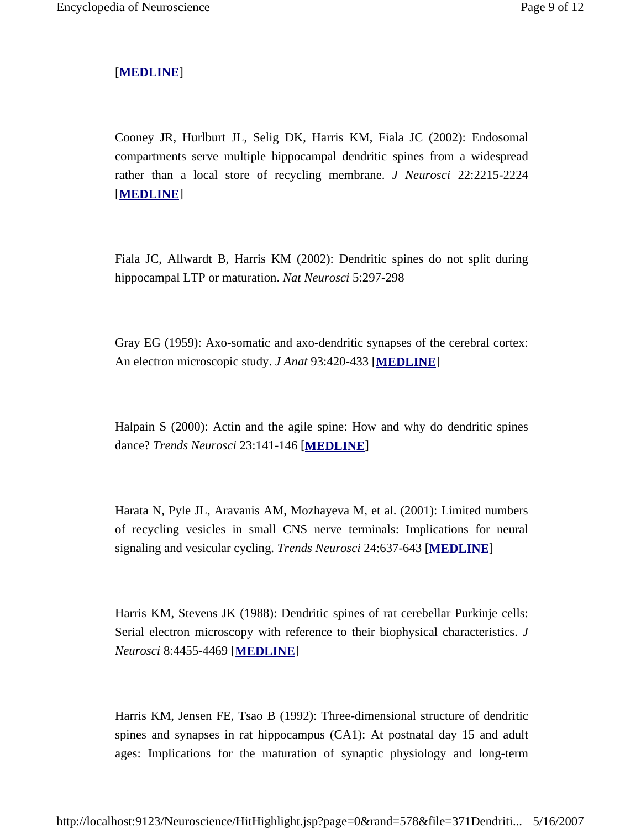# [**MEDLINE**]

Cooney JR, Hurlburt JL, Selig DK, Harris KM, Fiala JC (2002): Endosomal compartments serve multiple hippocampal dendritic spines from a widespread rather than a local store of recycling membrane. *J Neurosci* 22:2215-2224 [**MEDLINE**]

Fiala JC, Allwardt B, Harris KM (2002): Dendritic spines do not split during hippocampal LTP or maturation. *Nat Neurosci* 5:297-298

Gray EG (1959): Axo-somatic and axo-dendritic synapses of the cerebral cortex: An electron microscopic study. *J Anat* 93:420-433 [**MEDLINE**]

Halpain S (2000): Actin and the agile spine: How and why do dendritic spines dance? *Trends Neurosci* 23:141-146 [**MEDLINE**]

Harata N, Pyle JL, Aravanis AM, Mozhayeva M, et al. (2001): Limited numbers of recycling vesicles in small CNS nerve terminals: Implications for neural signaling and vesicular cycling. *Trends Neurosci* 24:637-643 [**MEDLINE**]

Harris KM, Stevens JK (1988): Dendritic spines of rat cerebellar Purkinje cells: Serial electron microscopy with reference to their biophysical characteristics. *J Neurosci* 8:4455-4469 [**MEDLINE**]

Harris KM, Jensen FE, Tsao B (1992): Three-dimensional structure of dendritic spines and synapses in rat hippocampus (CA1): At postnatal day 15 and adult ages: Implications for the maturation of synaptic physiology and long-term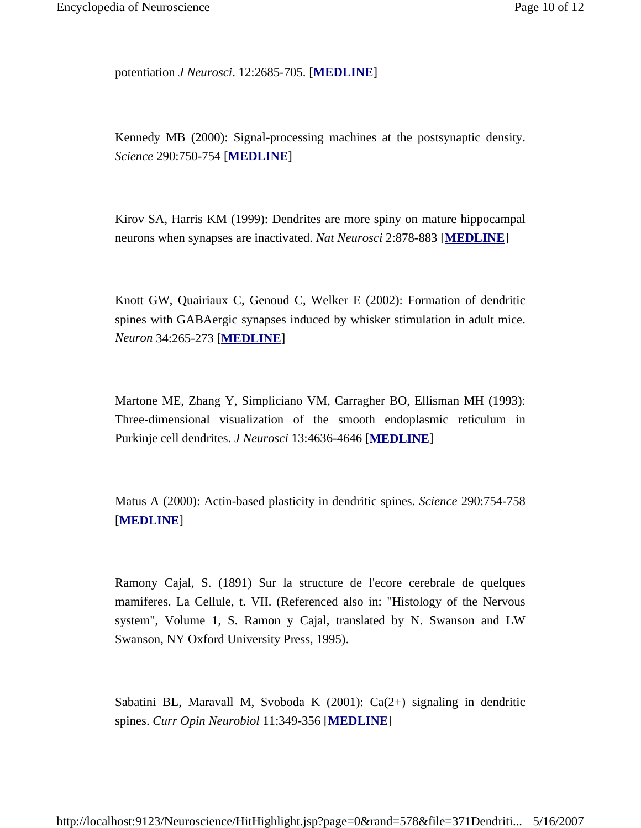potentiation *J Neurosci*. 12:2685-705. [**MEDLINE**]

Kennedy MB (2000): Signal-processing machines at the postsynaptic density. *Science* 290:750-754 [**MEDLINE**]

Kirov SA, Harris KM (1999): Dendrites are more spiny on mature hippocampal neurons when synapses are inactivated. *Nat Neurosci* 2:878-883 [**MEDLINE**]

Knott GW, Quairiaux C, Genoud C, Welker E (2002): Formation of dendritic spines with GABAergic synapses induced by whisker stimulation in adult mice. *Neuron* 34:265-273 [**MEDLINE**]

Martone ME, Zhang Y, Simpliciano VM, Carragher BO, Ellisman MH (1993): Three-dimensional visualization of the smooth endoplasmic reticulum in Purkinje cell dendrites. *J Neurosci* 13:4636-4646 [**MEDLINE**]

Matus A (2000): Actin-based plasticity in dendritic spines. *Science* 290:754-758 [**MEDLINE**]

Ramony Cajal, S. (1891) Sur la structure de l'ecore cerebrale de quelques mamiferes. La Cellule, t. VII. (Referenced also in: "Histology of the Nervous system", Volume 1, S. Ramon y Cajal, translated by N. Swanson and LW Swanson, NY Oxford University Press, 1995).

Sabatini BL, Maravall M, Svoboda K (2001): Ca(2+) signaling in dendritic spines. *Curr Opin Neurobiol* 11:349-356 [**MEDLINE**]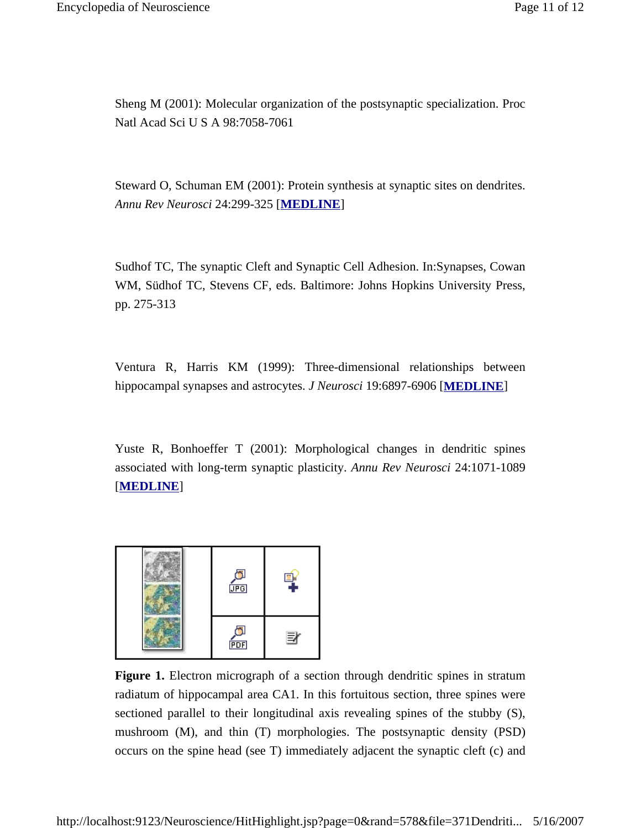Sheng M (2001): Molecular organization of the postsynaptic specialization. Proc Natl Acad Sci U S A 98:7058-7061

Steward O, Schuman EM (2001): Protein synthesis at synaptic sites on dendrites. *Annu Rev Neurosci* 24:299-325 [**MEDLINE**]

Sudhof TC, The synaptic Cleft and Synaptic Cell Adhesion. In:Synapses, Cowan WM, Südhof TC, Stevens CF, eds. Baltimore: Johns Hopkins University Press, pp. 275-313

Ventura R, Harris KM (1999): Three-dimensional relationships between hippocampal synapses and astrocytes. *J Neurosci* 19:6897-6906 [**MEDLINE**]

Yuste R, Bonhoeffer T (2001): Morphological changes in dendritic spines associated with long-term synaptic plasticity. *Annu Rev Neurosci* 24:1071-1089 [**MEDLINE**]



**Figure 1.** Electron micrograph of a section through dendritic spines in stratum radiatum of hippocampal area CA1. In this fortuitous section, three spines were sectioned parallel to their longitudinal axis revealing spines of the stubby (S), mushroom (M), and thin (T) morphologies. The postsynaptic density (PSD) occurs on the spine head (see T) immediately adjacent the synaptic cleft (c) and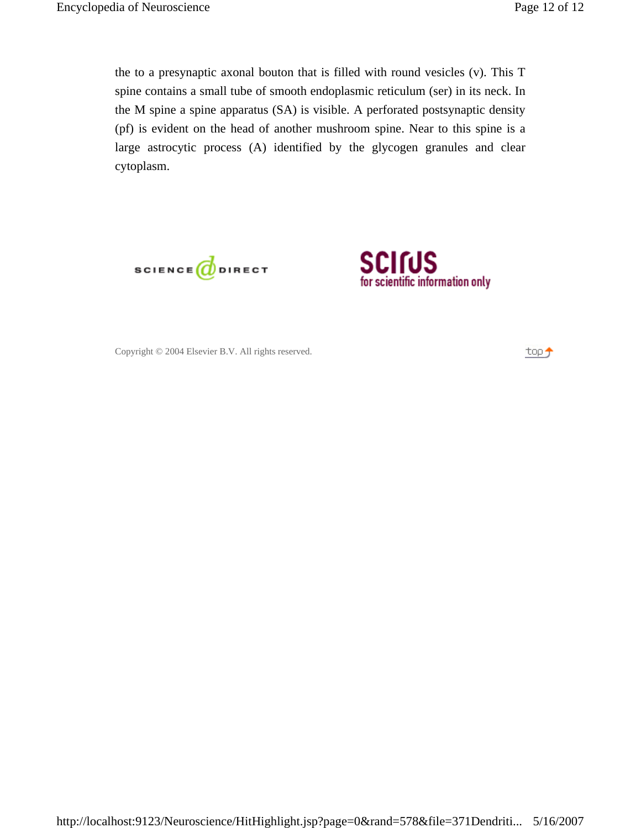the to a presynaptic axonal bouton that is filled with round vesicles (v). This T spine contains a small tube of smooth endoplasmic reticulum (ser) in its neck. In the M spine a spine apparatus (SA) is visible. A perforated postsynaptic density (pf) is evident on the head of another mushroom spine. Near to this spine is a large astrocytic process (A) identified by the glycogen granules and clear cytoplasm.





Copyright © 2004 Elsevier B.V. All rights reserved.

top j